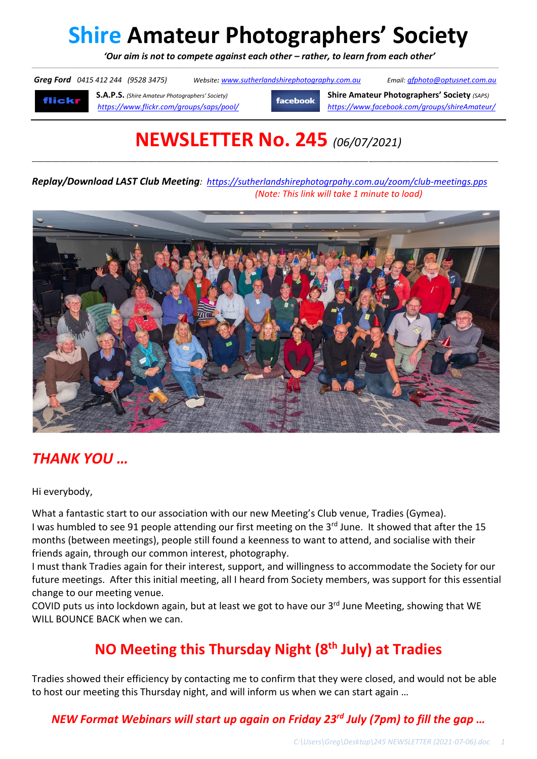# **Shire Amateur Photographers' Society**

*'Our aim is not to compete against each other – rather, to learn from each other'*

\_\_\_\_\_\_\_\_\_\_\_\_\_\_\_\_\_\_\_\_\_\_\_\_\_\_\_\_\_\_\_\_\_\_\_\_\_\_\_\_\_\_\_\_\_\_\_\_\_\_\_\_\_\_\_\_\_\_\_\_\_\_\_\_\_\_\_\_\_\_\_\_\_\_\_\_\_\_\_\_\_\_\_\_\_\_\_\_\_\_\_\_\_\_\_\_\_\_\_\_\_\_\_\_\_\_\_\_\_\_\_\_\_\_\_\_\_\_\_\_\_\_\_\_\_\_\_\_\_\_\_\_\_\_\_\_\_\_\_\_\_\_\_\_\_\_\_\_\_\_\_\_\_\_\_\_\_\_\_\_\_\_\_\_\_\_\_\_\_\_\_\_\_\_\_\_\_\_\_\_\_\_\_\_\_\_\_\_\_\_\_\_\_\_\_\_\_\_\_\_\_\_\_\_\_\_\_\_\_\_\_\_\_\_\_\_\_\_\_\_\_\_\_\_\_\_\_\_\_\_\_\_\_\_\_\_\_\_\_\_\_\_\_\_\_\_\_\_\_\_\_\_\_\_\_\_\_\_\_\_

*Greg Ford 0415 412 244 (9528 3475) Website: www.sutherlandshirephotography.com.au Email: gfphoto@optusnet.com.au* 

flickr

**S.A.P.S.** *(Shire Amateur Photographers' Society)* **Shire Amateur Photographers' Society** *(SAPS) https://www.flickr.com/groups/saps/pool/ https://www.facebook.com/groups/shireAmateur/*

## **NEWSLETTER No. 245** *(06/07/2021)*

**\_\_\_\_\_\_\_\_\_\_\_\_\_\_\_\_\_\_\_\_\_\_\_\_\_\_\_\_\_\_\_\_\_\_\_\_\_\_\_\_\_\_\_\_\_\_\_\_\_\_\_\_\_\_\_\_\_\_\_\_\_\_\_\_\_\_\_\_\_\_\_\_\_\_\_\_\_\_\_\_\_\_\_\_\_\_\_\_\_\_\_\_\_\_\_\_\_\_\_\_\_\_\_\_\_\_\_\_\_\_\_\_\_\_\_\_\_\_\_\_\_\_\_\_\_\_\_\_\_\_\_\_\_\_\_\_\_\_\_\_\_\_\_\_\_\_\_\_\_\_\_\_\_\_\_\_\_\_\_\_\_\_\_\_\_\_\_\_\_\_\_\_\_**

*Replay/Download LAST Club Meeting: https://sutherlandshirephotogrpahy.com.au/zoom/club-meetings.pps (Note: This link will take 1 minute to load)*



### *THANK YOU …*

Hi everybody,

What a fantastic start to our association with our new Meeting's Club venue, Tradies (Gymea). I was humbled to see 91 people attending our first meeting on the 3<sup>rd</sup> June. It showed that after the 15 months (between meetings), people still found a keenness to want to attend, and socialise with their friends again, through our common interest, photography.

I must thank Tradies again for their interest, support, and willingness to accommodate the Society for our future meetings. After this initial meeting, all I heard from Society members, was support for this essential change to our meeting venue.

COVID puts us into lockdown again, but at least we got to have our 3<sup>rd</sup> June Meeting, showing that WE WILL BOUNCE BACK when we can.

### **NO Meeting this Thursday Night (8th July) at Tradies**

Tradies showed their efficiency by contacting me to confirm that they were closed, and would not be able to host our meeting this Thursday night, and will inform us when we can start again …

#### *NEW Format Webinars will start up again on Friday 23rd July (7pm) to fill the gap …*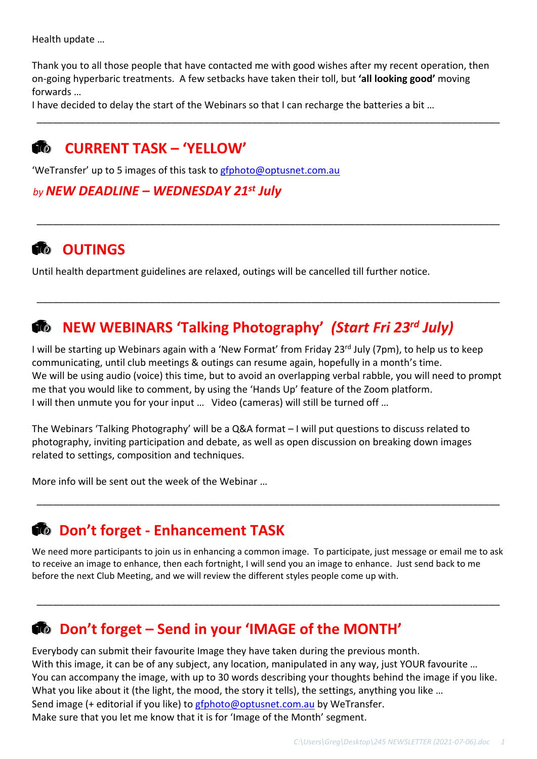Health update …

Thank you to all those people that have contacted me with good wishes after my recent operation, then on-going hyperbaric treatments. A few setbacks have taken their toll, but **'all looking good'** moving forwards …

\_\_\_\_\_\_\_\_\_\_\_\_\_\_\_\_\_\_\_\_\_\_\_\_\_\_\_\_\_\_\_\_\_\_\_\_\_\_\_\_\_\_\_\_\_\_\_\_\_\_\_\_\_\_\_\_\_\_\_\_\_\_\_\_\_\_\_\_\_\_\_\_\_\_\_\_\_\_\_\_\_\_\_\_\_\_

\_\_\_\_\_\_\_\_\_\_\_\_\_\_\_\_\_\_\_\_\_\_\_\_\_\_\_\_\_\_\_\_\_\_\_\_\_\_\_\_\_\_\_\_\_\_\_\_\_\_\_\_\_\_\_\_\_\_\_\_\_\_\_\_\_\_\_\_\_\_\_\_\_\_\_\_\_\_\_\_\_\_\_\_\_\_

\_\_\_\_\_\_\_\_\_\_\_\_\_\_\_\_\_\_\_\_\_\_\_\_\_\_\_\_\_\_\_\_\_\_\_\_\_\_\_\_\_\_\_\_\_\_\_\_\_\_\_\_\_\_\_\_\_\_\_\_\_\_\_\_\_\_\_\_\_\_\_\_\_\_\_\_\_\_\_\_\_\_\_\_\_\_

I have decided to delay the start of the Webinars so that I can recharge the batteries a bit …

### **CURRENT TASK – 'YELLOW'**

'WeTransfer' up to 5 images of this task to gfphoto@optusnet.com.au

*by NEW DEADLINE – WEDNESDAY 21st July*

### **READER** OUTINGS

Until health department guidelines are relaxed, outings will be cancelled till further notice.

### **NEW WEBINARS 'Talking Photography'** *(Start Fri 23rd July)*

I will be starting up Webinars again with a 'New Format' from Friday 23<sup>rd</sup> July (7pm), to help us to keep communicating, until club meetings & outings can resume again, hopefully in a month's time. We will be using audio (voice) this time, but to avoid an overlapping verbal rabble, you will need to prompt me that you would like to comment, by using the 'Hands Up' feature of the Zoom platform. I will then unmute you for your input … Video (cameras) will still be turned off …

The Webinars 'Talking Photography' will be a Q&A format – I will put questions to discuss related to photography, inviting participation and debate, as well as open discussion on breaking down images related to settings, composition and techniques.

More info will be sent out the week of the Webinar …

### **Don't forget - Enhancement TASK**

We need more participants to join us in enhancing a common image. To participate, just message or email me to ask to receive an image to enhance, then each fortnight, I will send you an image to enhance. Just send back to me before the next Club Meeting, and we will review the different styles people come up with.

\_\_\_\_\_\_\_\_\_\_\_\_\_\_\_\_\_\_\_\_\_\_\_\_\_\_\_\_\_\_\_\_\_\_\_\_\_\_\_\_\_\_\_\_\_\_\_\_\_\_\_\_\_\_\_\_\_\_\_\_\_\_\_\_\_\_\_\_\_\_\_\_\_\_\_\_\_\_\_\_\_\_\_\_\_\_

\_\_\_\_\_\_\_\_\_\_\_\_\_\_\_\_\_\_\_\_\_\_\_\_\_\_\_\_\_\_\_\_\_\_\_\_\_\_\_\_\_\_\_\_\_\_\_\_\_\_\_\_\_\_\_\_\_\_\_\_\_\_\_\_\_\_\_\_\_\_\_\_\_\_\_\_\_\_\_\_\_\_\_\_\_\_

### **Don't forget – Send in your 'IMAGE of the MONTH'**

Everybody can submit their favourite Image they have taken during the previous month. With this image, it can be of any subject, any location, manipulated in any way, just YOUR favourite ... You can accompany the image, with up to 30 words describing your thoughts behind the image if you like. What you like about it (the light, the mood, the story it tells), the settings, anything you like ... Send image (+ editorial if you like) to gfphoto@optusnet.com.au by WeTransfer. Make sure that you let me know that it is for 'Image of the Month' segment.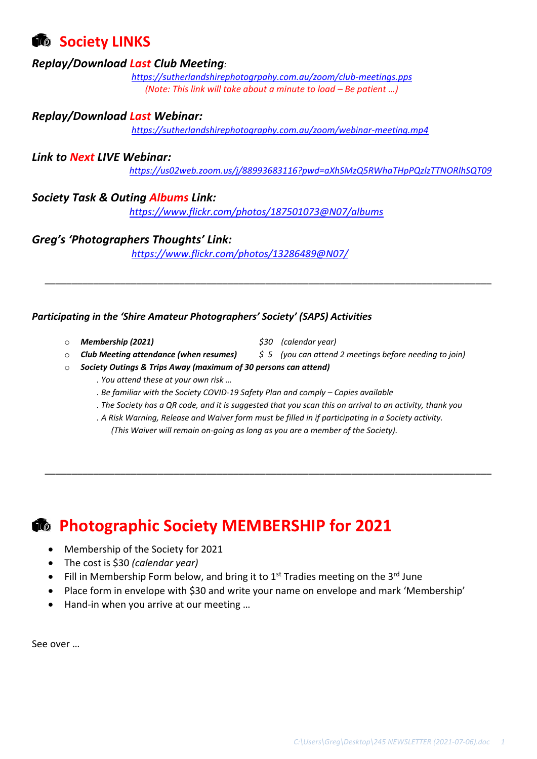### *<b>C* Society LINKS

#### *Replay/Download Last Club Meeting:*

*https://sutherlandshirephotogrpahy.com.au/zoom/club-meetings.pps (Note: This link will take about a minute to load – Be patient …)*

#### *Replay/Download Last Webinar:*

*https://sutherlandshirephotography.com.au/zoom/webinar-meeting.mp4*

#### *Link to Next LIVE Webinar:*

*https://us02web.zoom.us/j/88993683116?pwd=aXhSMzQ5RWhaTHpPQzlzTTNORlhSQT09*

#### *Society Task & Outing Albums Link:*

*https://www.flickr.com/photos/187501073@N07/albums*

#### *Greg's 'Photographers Thoughts' Link:*

*https://www.flickr.com/photos/13286489@N07/*

#### *Participating in the 'Shire Amateur Photographers' Society' (SAPS) Activities*

- o *Membership (2021) \$30 (calendar year)*
- 
- o *Club Meeting attendance (when resumes) \$ 5 (you can attend 2 meetings before needing to join)*

\_\_\_\_\_\_\_\_\_\_\_\_\_\_\_\_\_\_\_\_\_\_\_\_\_\_\_\_\_\_\_\_\_\_\_\_\_\_\_\_\_\_\_\_\_\_\_\_\_\_\_\_\_\_\_\_\_\_\_\_\_\_\_\_\_\_\_\_\_\_\_\_\_\_\_\_\_\_\_\_\_\_\_

- o *Society Outings & Trips Away (maximum of 30 persons can attend)*
	- *. You attend these at your own risk …*
	- *. Be familiar with the Society COVID-19 Safety Plan and comply – Copies available*
	- *. The Society has a QR code, and it is suggested that you scan this on arrival to an activity, thank you*
	- *. A Risk Warning, Release and Waiver form must be filled in if participating in a Society activity. (This Waiver will remain on-going as long as you are a member of the Society).*

\_\_\_\_\_\_\_\_\_\_\_\_\_\_\_\_\_\_\_\_\_\_\_\_\_\_\_\_\_\_\_\_\_\_\_\_\_\_\_\_\_\_\_\_\_\_\_\_\_\_\_\_\_\_\_\_\_\_\_\_\_\_\_\_\_\_\_\_\_\_\_\_\_\_\_\_\_\_\_\_\_\_\_

### **<b>• Photographic Society MEMBERSHIP for 2021**

- Membership of the Society for 2021
- The cost is \$30 *(calendar year)*
- Fill in Membership Form below, and bring it to  $1<sup>st</sup>$  Tradies meeting on the 3<sup>rd</sup> June
- Place form in envelope with \$30 and write your name on envelope and mark 'Membership'
- Hand-in when you arrive at our meeting …

See over …